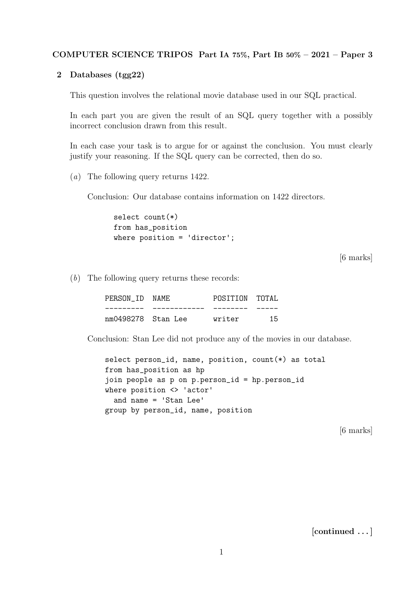## COMPUTER SCIENCE TRIPOS Part IA 75%, Part IB 50% – 2021 – Paper 3

## 2 Databases (tgg22)

This question involves the relational movie database used in our SQL practical.

In each part you are given the result of an SQL query together with a possibly incorrect conclusion drawn from this result.

In each case your task is to argue for or against the conclusion. You must clearly justify your reasoning. If the SQL query can be corrected, then do so.

(a) The following query returns 1422.

Conclusion: Our database contains information on 1422 directors.

```
select count(*)
from has_position
where position = 'director';
```
[6 marks]

(b) The following query returns these records:

| PERSON ID NAME     | POSITION TOTAL |     |
|--------------------|----------------|-----|
|                    |                |     |
| nm0498278 Stan Lee | writer         | 1.5 |

Conclusion: Stan Lee did not produce any of the movies in our database.

select person\_id, name, position, count(\*) as total from has\_position as hp join people as p on p.person\_id = hp.person\_id where position <> 'actor' and name = 'Stan Lee' group by person\_id, name, position

[6 marks]

[continued . . . ]